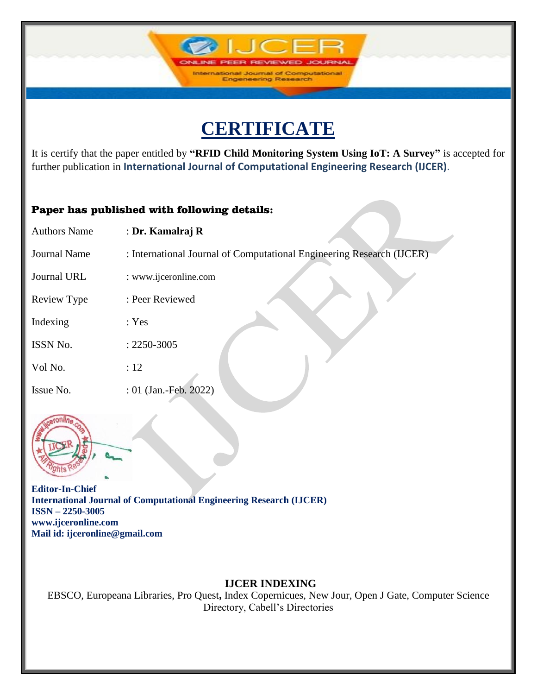# **CERTIFICATE**

**IJCF** 

International Journal of Computation<br>Engeneering Research

It is certify that the paper entitled by **"RFID Child Monitoring System Using IoT: A Survey"** is accepted for further publication in **International Journal of Computational Engineering Research (IJCER)**.

### Paper has published with following details:

| <b>Authors Name</b> | : Dr. Kamalraj R                                                      |
|---------------------|-----------------------------------------------------------------------|
| <b>Journal Name</b> | : International Journal of Computational Engineering Research (IJCER) |
| Journal URL         | : www.ijceronline.com                                                 |
| Review Type         | : Peer Reviewed                                                       |
| Indexing            | : Yes                                                                 |
| ISSN No.            | $: 2250 - 3005$                                                       |
| Vol No.             | :12                                                                   |
| Issue No.           | : 01 (Jan.-Feb. 2022)                                                 |
|                     |                                                                       |



**Editor-In-Chief International Journal of Computational Engineering Research (IJCER) ISSN – 2250-3005 www.ijceronline.com Mail id: ijceronline@gmail.com**

## **IJCER INDEXING**

EBSCO, Europeana Libraries, Pro Quest**,** Index Copernicues, New Jour, Open J Gate, Computer Science Directory, Cabell's Directories